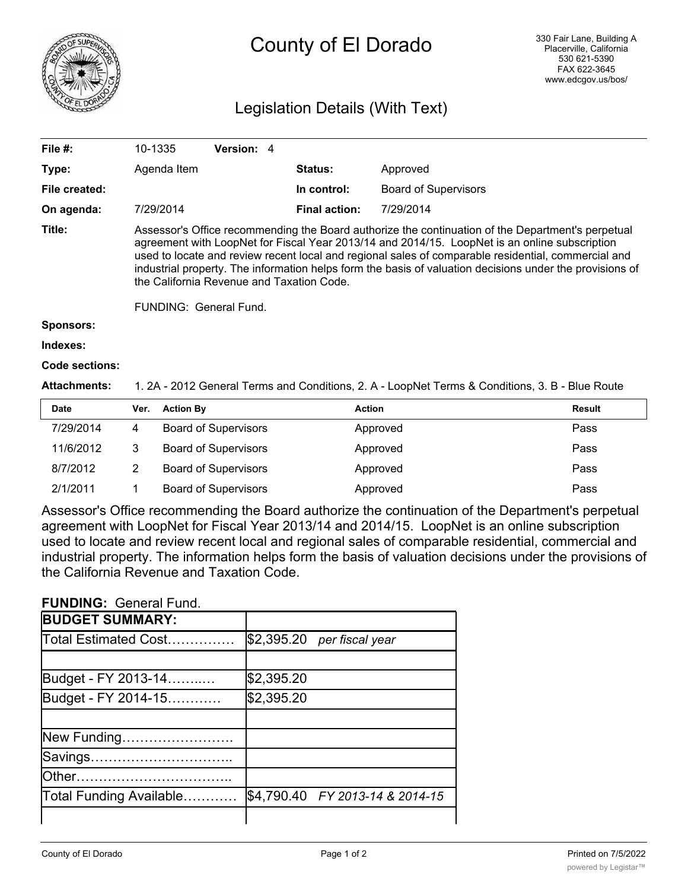

# County of El Dorado

### Legislation Details (With Text)

| File #:          | 10-1335                                                                                                                                                                                                                                                                                                                                                                                                                                                                                      | <b>Version: 4</b> |                      |                             |  |  |  |
|------------------|----------------------------------------------------------------------------------------------------------------------------------------------------------------------------------------------------------------------------------------------------------------------------------------------------------------------------------------------------------------------------------------------------------------------------------------------------------------------------------------------|-------------------|----------------------|-----------------------------|--|--|--|
| Type:            | Agenda Item                                                                                                                                                                                                                                                                                                                                                                                                                                                                                  |                   | <b>Status:</b>       | Approved                    |  |  |  |
| File created:    |                                                                                                                                                                                                                                                                                                                                                                                                                                                                                              |                   | In control:          | <b>Board of Supervisors</b> |  |  |  |
| On agenda:       | 7/29/2014                                                                                                                                                                                                                                                                                                                                                                                                                                                                                    |                   | <b>Final action:</b> | 7/29/2014                   |  |  |  |
| Title:           | Assessor's Office recommending the Board authorize the continuation of the Department's perpetual<br>agreement with LoopNet for Fiscal Year 2013/14 and 2014/15. LoopNet is an online subscription<br>used to locate and review recent local and regional sales of comparable residential, commercial and<br>industrial property. The information helps form the basis of valuation decisions under the provisions of<br>the California Revenue and Taxation Code.<br>FUNDING: General Fund. |                   |                      |                             |  |  |  |
| <b>Sponsors:</b> |                                                                                                                                                                                                                                                                                                                                                                                                                                                                                              |                   |                      |                             |  |  |  |
| Indexes:         |                                                                                                                                                                                                                                                                                                                                                                                                                                                                                              |                   |                      |                             |  |  |  |
| Code sections:   |                                                                                                                                                                                                                                                                                                                                                                                                                                                                                              |                   |                      |                             |  |  |  |

**Attachments:** 1. 2A - 2012 General Terms and Conditions, 2. A - LoopNet Terms & Conditions, 3. B - Blue Route

| <b>Date</b> | Ver. | <b>Action By</b>            | <b>Action</b> | Result |
|-------------|------|-----------------------------|---------------|--------|
| 7/29/2014   | 4    | <b>Board of Supervisors</b> | Approved      | Pass   |
| 11/6/2012   | 3    | <b>Board of Supervisors</b> | Approved      | Pass   |
| 8/7/2012    |      | <b>Board of Supervisors</b> | Approved      | Pass   |
| 2/1/2011    |      | <b>Board of Supervisors</b> | Approved      | Pass   |

Assessor's Office recommending the Board authorize the continuation of the Department's perpetual agreement with LoopNet for Fiscal Year 2013/14 and 2014/15. LoopNet is an online subscription used to locate and review recent local and regional sales of comparable residential, commercial and industrial property. The information helps form the basis of valuation decisions under the provisions of the California Revenue and Taxation Code.

#### **FUNDING:** General Fund.

| <b>BUDGET SUMMARY:</b>  |            |                                 |
|-------------------------|------------|---------------------------------|
| Total Estimated Cost    |            | $$2,395.20$ per fiscal year     |
|                         |            |                                 |
| Budget - FY 2013-14     | \$2,395.20 |                                 |
| Budget - FY 2014-15     | \$2,395.20 |                                 |
|                         |            |                                 |
| New Funding             |            |                                 |
| Savings                 |            |                                 |
|                         |            |                                 |
| Total Funding Available |            | \$4,790.40 FY 2013-14 & 2014-15 |
|                         |            |                                 |